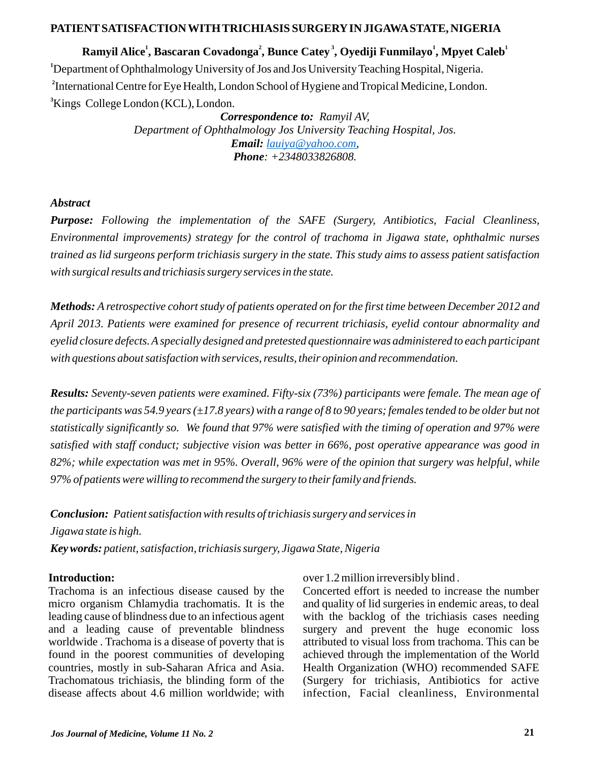### **PATIENTSATISFACTION WITH TRICHIASIS SURGERYIN JIGAWASTATE, NIGERIA**

 **2 3 <sup>1</sup> <sup>1</sup> Ramyil Alice , Bascaran Covadonga , Bunce Catey , Oyediji Funmilayo , Mpyet Caleb** Department of Ophthalmology University of Jos and Jos University Teaching Hospital, Nigeria. <sup>2</sup> International Centre for Eye Health, London School of Hygiene and Tropical Medicine, London. Kings College London (KCL), London.

*Correspondence to: Ramyil AV, Department of Ophthalmology Jos University Teaching Hospital, Jos. Email: , [lauiya@yahoo.com](mailto:lauiya@yahoo.com) Phone: +2348033826808.*

#### *Abstract*

*Purpose: Following the implementation of the SAFE (Surgery, Antibiotics, Facial Cleanliness, Environmental improvements) strategy for the control of trachoma in Jigawa state, ophthalmic nurses trained as lid surgeons perform trichiasis surgery in the state. This study aims to assess patient satisfaction with surgical results and trichiasis surgery services in the state.*

*Methods: A retrospective cohort study of patients operated on for the first time between December 2012 and April 2013. Patients were examined for presence of recurrent trichiasis, eyelid contour abnormality and eyelid closure defects. Aspecially designed and pretested questionnaire was administered to each participant with questions about satisfaction with services, results, their opinion and recommendation.* 

*Results: Seventy-seven patients were examined. Fifty-six (73%) participants were female. The mean age of the participants was 54.9 years (±17.8 years) with a range of 8 to 90 years; females tended to be older but not statistically significantly so. We found that 97% were satisfied with the timing of operation and 97% were satisfied with staff conduct; subjective vision was better in 66%, post operative appearance was good in 82%; while expectation was met in 95%. Overall, 96% were of the opinion that surgery was helpful, while 97% of patients were willing to recommend the surgery to their family and friends.* 

*Conclusion: Patient satisfaction with results of trichiasis surgery and services in Jigawa state is high.* 

*Key words: patient, satisfaction, trichiasis surgery, Jigawa State, Nigeria*

### **Introduction:**

Trachoma is an infectious disease caused by the micro organism Chlamydia trachomatis. It is the leading cause of blindness due to an infectious agent and a leading cause of preventable blindness worldwide . Trachoma is a disease of poverty that is found in the poorest communities of developing countries, mostly in sub-Saharan Africa and Asia. Trachomatous trichiasis, the blinding form of the disease affects about 4.6 million worldwide; with

over 1.2 million irreversibly blind .

Concerted effort is needed to increase the number and quality of lid surgeries in endemic areas, to deal with the backlog of the trichiasis cases needing surgery and prevent the huge economic loss attributed to visual loss from trachoma. This can be achieved through the implementation of the World Health Organization (WHO) recommended SAFE (Surgery for trichiasis, Antibiotics for active infection, Facial cleanliness, Environmental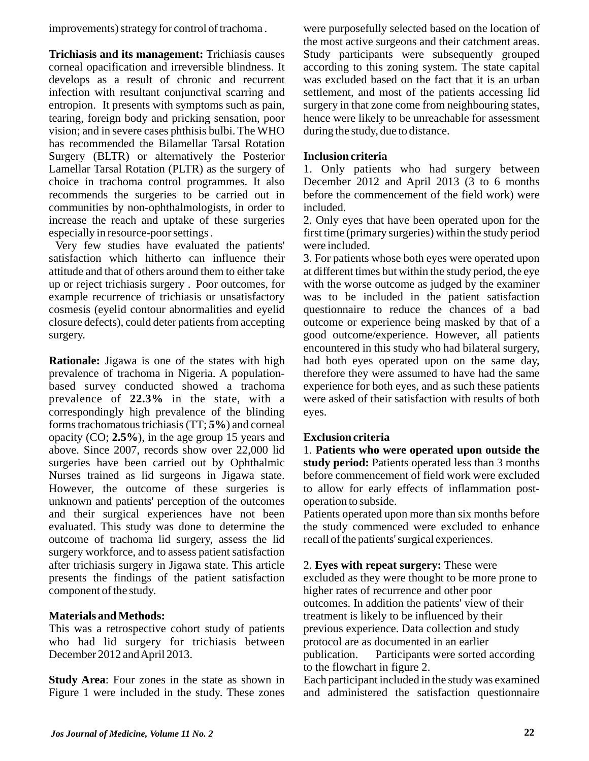improvements) strategy for control of trachoma .

**Trichiasis and its management:** Trichiasis causes corneal opacification and irreversible blindness. It develops as a result of chronic and recurrent infection with resultant conjunctival scarring and entropion. It presents with symptoms such as pain, tearing, foreign body and pricking sensation, poor vision; and in severe cases phthisis bulbi. The WHO has recommended the Bilamellar Tarsal Rotation Surgery (BLTR) or alternatively the Posterior Lamellar Tarsal Rotation (PLTR) as the surgery of choice in trachoma control programmes. It also recommends the surgeries to be carried out in communities by non-ophthalmologists, in order to increase the reach and uptake of these surgeries especially in resource-poor settings .

Very few studies have evaluated the patients' satisfaction which hitherto can influence their attitude and that of others around them to either take up or reject trichiasis surgery . Poor outcomes, for example recurrence of trichiasis or unsatisfactory cosmesis (eyelid contour abnormalities and eyelid closure defects), could deter patients from accepting surgery.

**Rationale:** Jigawa is one of the states with high prevalence of trachoma in Nigeria. A populationbased survey conducted showed a trachoma prevalence of **22.3%** in the state, with a correspondingly high prevalence of the blinding forms trachomatous trichiasis (TT; **5%**) and corneal opacity (CO; **2.5%**), in the age group 15 years and above. Since 2007, records show over 22,000 lid surgeries have been carried out by Ophthalmic Nurses trained as lid surgeons in Jigawa state. However, the outcome of these surgeries is unknown and patients' perception of the outcomes and their surgical experiences have not been evaluated. This study was done to determine the outcome of trachoma lid surgery, assess the lid surgery workforce, and to assess patient satisfaction after trichiasis surgery in Jigawa state. This article presents the findings of the patient satisfaction component of the study.

# **Materials and Methods:**

This was a retrospective cohort study of patients who had lid surgery for trichiasis between December 2012 and April 2013.

**Study Area**: Four zones in the state as shown in Figure 1 were included in the study. These zones were purposefully selected based on the location of the most active surgeons and their catchment areas. Study participants were subsequently grouped according to this zoning system. The state capital was excluded based on the fact that it is an urban settlement, and most of the patients accessing lid surgery in that zone come from neighbouring states, hence were likely to be unreachable for assessment during the study, due to distance.

# **Inclusion criteria**

1. Only patients who had surgery between December 2012 and April 2013 (3 to 6 months before the commencement of the field work) were included.

2. Only eyes that have been operated upon for the first time (primary surgeries) within the study period were included.

3. For patients whose both eyes were operated upon at different times but within the study period, the eye with the worse outcome as judged by the examiner was to be included in the patient satisfaction questionnaire to reduce the chances of a bad outcome or experience being masked by that of a good outcome/experience. However, all patients encountered in this study who had bilateral surgery, had both eyes operated upon on the same day, therefore they were assumed to have had the same experience for both eyes, and as such these patients were asked of their satisfaction with results of both eyes.

# **Exclusion criteria**

1. **Patients who were operated upon outside the study period:** Patients operated less than 3 months before commencement of field work were excluded to allow for early effects of inflammation postoperation to subside.

Patients operated upon more than six months before the study commenced were excluded to enhance recall of the patients' surgical experiences.

2. **Eyes with repeat surgery:** These were excluded as they were thought to be more prone to higher rates of recurrence and other poor outcomes. In addition the patients' view of their treatment is likely to be influenced by their previous experience. Data collection and study protocol are as documented in an earlier publication. Participants were sorted according to the flowchart in figure 2.

Each participant included in the study was examined and administered the satisfaction questionnaire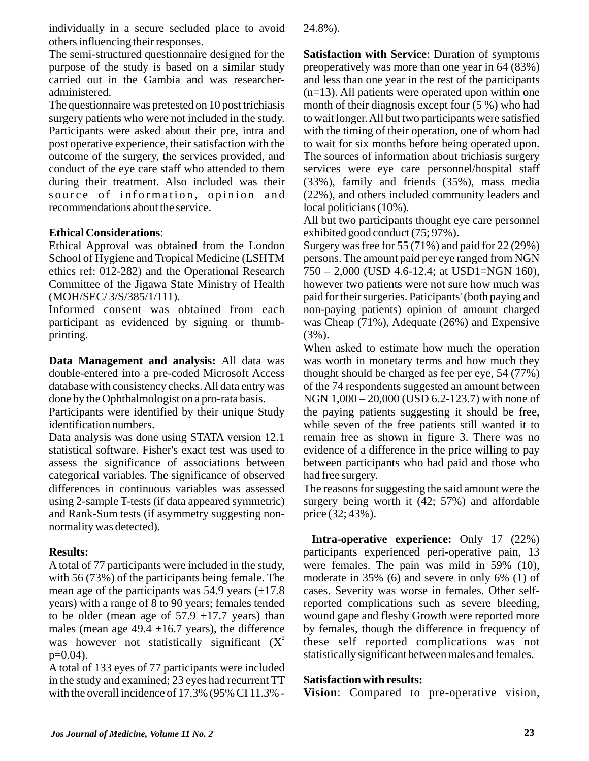individually in a secure secluded place to avoid others influencing their responses.

The semi-structured questionnaire designed for the purpose of the study is based on a similar study carried out in the Gambia and was researcheradministered.

The questionnaire was pretested on 10 post trichiasis surgery patients who were not included in the study. Participants were asked about their pre, intra and post operative experience, their satisfaction with the outcome of the surgery, the services provided, and conduct of the eye care staff who attended to them during their treatment. Also included was their source of information, opinion and recommendations about the service.

### **Ethical Considerations**:

Ethical Approval was obtained from the London School of Hygiene and Tropical Medicine (LSHTM ethics ref: 012-282) and the Operational Research Committee of the Jigawa State Ministry of Health (MOH/SEC/ 3/S/385/1/111).

Informed consent was obtained from each participant as evidenced by signing or thumbprinting.

**Data Management and analysis:** All data was double-entered into a pre-coded Microsoft Access database with consistency checks. All data entry was done by the Ophthalmologist on a pro-rata basis.

Participants were identified by their unique Study identification numbers.

Data analysis was done using STATA version 12.1 statistical software. Fisher's exact test was used to assess the significance of associations between categorical variables. The significance of observed differences in continuous variables was assessed using 2-sample T-tests (if data appeared symmetric) and Rank-Sum tests (if asymmetry suggesting nonnormality was detected).

# **Results:**

Atotal of 77 participants were included in the study, with 56 (73%) of the participants being female. The mean age of the participants was 54.9 years  $(\pm 17.8)$ years) with a range of 8 to 90 years; females tended to be older (mean age of  $57.9 \pm 17.7$  years) than males (mean age  $49.4 \pm 16.7$  years), the difference was however not statistically significant  $(X^2)$  $p=0.04$ ).

A total of 133 eyes of 77 participants were included in the study and examined; 23 eyes had recurrent TT with the overall incidence of 17.3% (95% CI 11.3% - 24.8%).

**Satisfaction with Service**: Duration of symptoms preoperatively was more than one year in 64 (83%) and less than one year in the rest of the participants  $(n=13)$ . All patients were operated upon within one month of their diagnosis except four (5 %) who had to wait longer. All but two participants were satisfied with the timing of their operation, one of whom had to wait for six months before being operated upon. The sources of information about trichiasis surgery services were eye care personnel/hospital staff (33%), family and friends (35%), mass media (22%), and others included community leaders and local politicians (10%).

All but two participants thought eye care personnel exhibited good conduct (75; 97%).

Surgery was free for 55 (71%) and paid for 22 (29%) persons. The amount paid per eye ranged from NGN 750 – 2,000 (USD 4.6-12.4; at USD1=NGN 160), however two patients were not sure how much was paid for their surgeries. Paticipants' (both paying and non-paying patients) opinion of amount charged was Cheap (71%), Adequate (26%) and Expensive  $(3\%)$ .

When asked to estimate how much the operation was worth in monetary terms and how much they thought should be charged as fee per eye, 54 (77%) of the 74 respondents suggested an amount between NGN 1,000 – 20,000 (USD 6.2-123.7) with none of the paying patients suggesting it should be free, while seven of the free patients still wanted it to remain free as shown in figure 3. There was no evidence of a difference in the price willing to pay between participants who had paid and those who had free surgery.

The reasons for suggesting the said amount were the surgery being worth it (42; 57%) and affordable price (32; 43%).

**Intra-operative experience:** Only 17 (22%) participants experienced peri-operative pain, 13 were females. The pain was mild in 59% (10), moderate in 35% (6) and severe in only 6% (1) of cases. Severity was worse in females. Other selfreported complications such as severe bleeding, wound gape and fleshy Growth were reported more by females, though the difference in frequency of these self reported complications was not statistically significant between males and females.

#### **Satisfaction with results:**

**Vision**: Compared to pre-operative vision,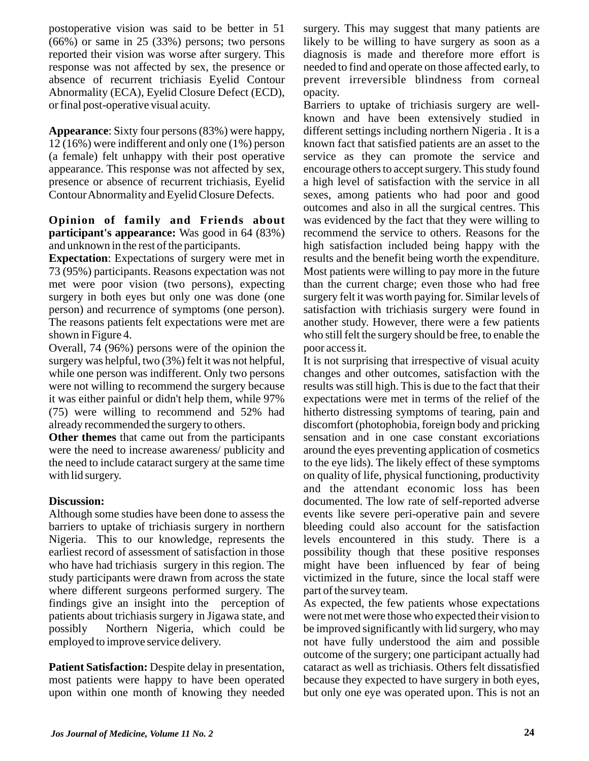postoperative vision was said to be better in 51 (66%) or same in 25 (33%) persons; two persons reported their vision was worse after surgery. This response was not affected by sex, the presence or absence of recurrent trichiasis Eyelid Contour Abnormality (ECA), Eyelid Closure Defect (ECD), or final post-operative visual acuity.

**Appearance**: Sixty four persons (83%) were happy, 12 (16%) were indifferent and only one (1%) person (a female) felt unhappy with their post operative appearance. This response was not affected by sex, presence or absence of recurrent trichiasis, Eyelid Contour Abnormality and Eyelid Closure Defects.

#### **Opinion of family and Friends about participant's appearance:** Was good in 64 (83%) and unknown in the rest of the participants.

**Expectation**: Expectations of surgery were met in 73 (95%) participants. Reasons expectation was not met were poor vision (two persons), expecting surgery in both eyes but only one was done (one person) and recurrence of symptoms (one person). The reasons patients felt expectations were met are shown in Figure 4.

Overall, 74 (96%) persons were of the opinion the surgery was helpful, two (3%) felt it was not helpful, while one person was indifferent. Only two persons were not willing to recommend the surgery because it was either painful or didn't help them, while 97% (75) were willing to recommend and 52% had already recommended the surgery to others.

**Other themes** that came out from the participants were the need to increase awareness/ publicity and the need to include cataract surgery at the same time with lid surgery.

# **Discussion:**

Although some studies have been done to assess the barriers to uptake of trichiasis surgery in northern Nigeria. This to our knowledge, represents the earliest record of assessment of satisfaction in those who have had trichiasis surgery in this region. The study participants were drawn from across the state where different surgeons performed surgery. The findings give an insight into the perception of patients about trichiasis surgery in Jigawa state, and possibly Northern Nigeria, which could be employed to improve service delivery.

**Patient Satisfaction:** Despite delay in presentation, most patients were happy to have been operated upon within one month of knowing they needed surgery. This may suggest that many patients are likely to be willing to have surgery as soon as a diagnosis is made and therefore more effort is needed to find and operate on those affected early, to prevent irreversible blindness from corneal opacity.

Barriers to uptake of trichiasis surgery are wellknown and have been extensively studied in different settings including northern Nigeria . It is a known fact that satisfied patients are an asset to the service as they can promote the service and encourage others to accept surgery. This study found a high level of satisfaction with the service in all sexes, among patients who had poor and good outcomes and also in all the surgical centres. This was evidenced by the fact that they were willing to recommend the service to others. Reasons for the high satisfaction included being happy with the results and the benefit being worth the expenditure. Most patients were willing to pay more in the future than the current charge; even those who had free surgery felt it was worth paying for. Similar levels of satisfaction with trichiasis surgery were found in another study. However, there were a few patients who still felt the surgery should be free, to enable the poor access it.

It is not surprising that irrespective of visual acuity changes and other outcomes, satisfaction with the results was still high. This is due to the fact that their expectations were met in terms of the relief of the hitherto distressing symptoms of tearing, pain and discomfort (photophobia, foreign body and pricking sensation and in one case constant excoriations around the eyes preventing application of cosmetics to the eye lids). The likely effect of these symptoms on quality of life, physical functioning, productivity and the attendant economic loss has been documented. The low rate of self-reported adverse events like severe peri-operative pain and severe bleeding could also account for the satisfaction levels encountered in this study. There is a possibility though that these positive responses might have been influenced by fear of being victimized in the future, since the local staff were part of the survey team.

As expected, the few patients whose expectations were not met were those who expected their vision to be improved significantly with lid surgery, who may not have fully understood the aim and possible outcome of the surgery; one participant actually had cataract as well as trichiasis. Others felt dissatisfied because they expected to have surgery in both eyes, but only one eye was operated upon. This is not an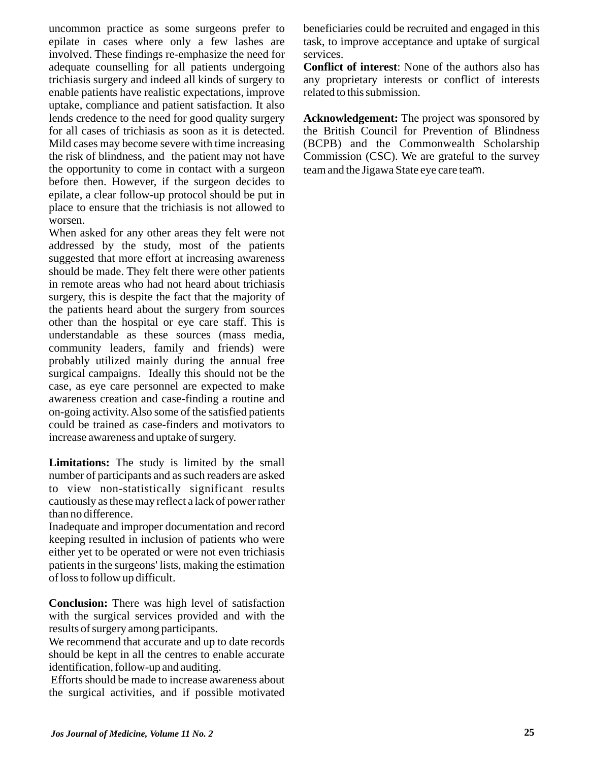uncommon practice as some surgeons prefer to epilate in cases where only a few lashes are involved. These findings re-emphasize the need for adequate counselling for all patients undergoing trichiasis surgery and indeed all kinds of surgery to enable patients have realistic expectations, improve uptake, compliance and patient satisfaction. It also lends credence to the need for good quality surgery for all cases of trichiasis as soon as it is detected. Mild cases may become severe with time increasing the risk of blindness, and the patient may not have the opportunity to come in contact with a surgeon before then. However, if the surgeon decides to epilate, a clear follow-up protocol should be put in place to ensure that the trichiasis is not allowed to worsen.

When asked for any other areas they felt were not addressed by the study, most of the patients suggested that more effort at increasing awareness should be made. They felt there were other patients in remote areas who had not heard about trichiasis surgery, this is despite the fact that the majority of the patients heard about the surgery from sources other than the hospital or eye care staff. This is understandable as these sources (mass media, community leaders, family and friends) were probably utilized mainly during the annual free surgical campaigns. Ideally this should not be the case, as eye care personnel are expected to make awareness creation and case-finding a routine and on-going activity.Also some of the satisfied patients could be trained as case-finders and motivators to increase awareness and uptake of surgery.

**Limitations:** The study is limited by the small number of participants and as such readers are asked to view non-statistically significant results cautiously as these may reflect a lack of power rather than no difference.

Inadequate and improper documentation and record keeping resulted in inclusion of patients who were either yet to be operated or were not even trichiasis patients in the surgeons' lists, making the estimation of loss to follow up difficult.

**Conclusion:** There was high level of satisfaction with the surgical services provided and with the results of surgery among participants.

We recommend that accurate and up to date records should be kept in all the centres to enable accurate identification, follow-up and auditing.

Efforts should be made to increase awareness about the surgical activities, and if possible motivated

beneficiaries could be recruited and engaged in this task, to improve acceptance and uptake of surgical services.

**Conflict of interest**: None of the authors also has any proprietary interests or conflict of interests related to this submission.

**Acknowledgement:** The project was sponsored by the British Council for Prevention of Blindness (BCPB) and the Commonwealth Scholarship Commission (CSC). We are grateful to the survey team and the Jigawa State eye care team.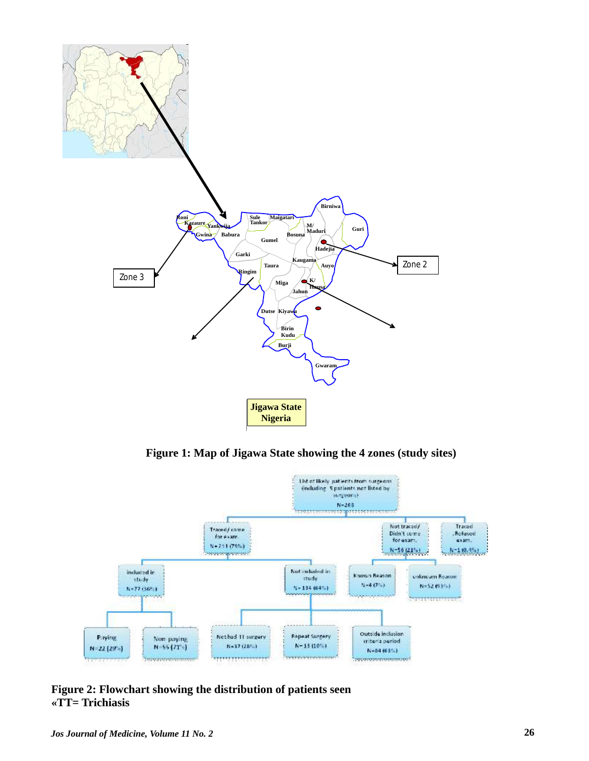

**Figure 1: Map of Jigawa State showing the 4 zones (study sites)**



**Figure 2: Flowchart showing the distribution of patients seen «TT= Trichiasis**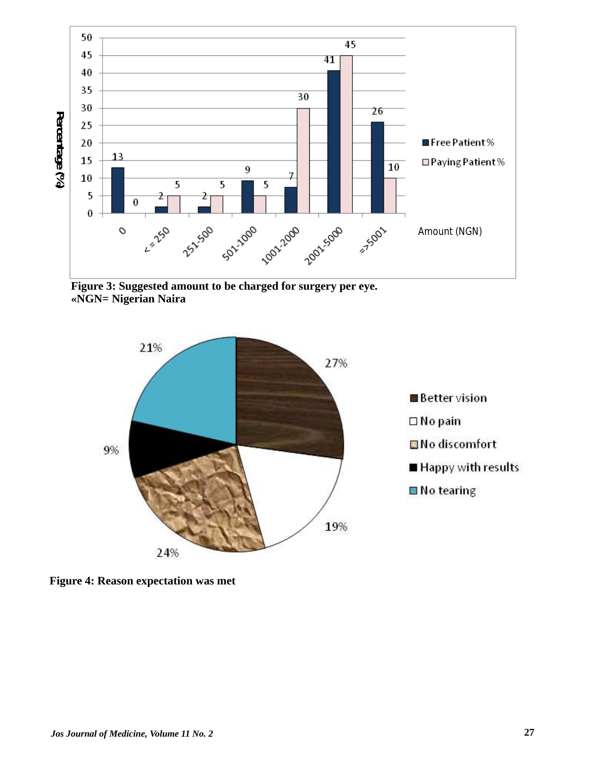

**Figure 3: Suggested amount to be charged for surgery per eye. «NGN= Nigerian Naira**



**Figure 4: Reason expectation was met**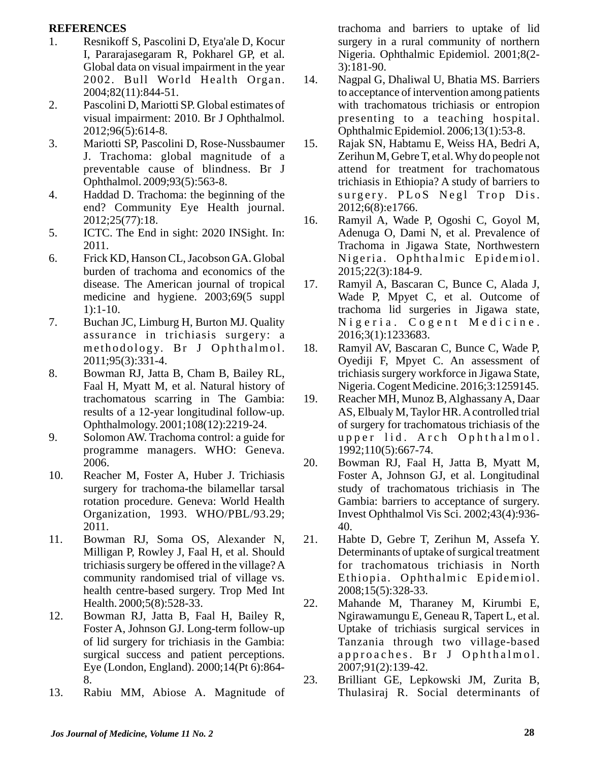#### **REFERENCES**

- 1. Resnikoff S, Pascolini D, Etya'ale D, Kocur I, Pararajasegaram R, Pokharel GP, et al. Global data on visual impairment in the year 2002. Bull World Health Organ. 2004;82(11):844-51.
- 2. Pascolini D, Mariotti SP. Global estimates of visual impairment: 2010. Br J Ophthalmol. 2012;96(5):614-8.
- 3. Mariotti SP, Pascolini D, Rose-Nussbaumer J. Trachoma: global magnitude of a preventable cause of blindness. Br J Ophthalmol. 2009;93(5):563-8.
- 4. Haddad D. Trachoma: the beginning of the end? Community Eye Health journal. 2012;25(77):18.
- 5. ICTC. The End in sight: 2020 INSight. In: 2011.
- 6. Frick KD, Hanson CL, Jacobson GA. Global burden of trachoma and economics of the disease. The American journal of tropical medicine and hygiene. 2003;69(5 suppl 1):1-10.
- 7. Buchan JC, Limburg H, Burton MJ. Quality assurance in trichiasis surgery: a methodology. Br J Ophthalmol. 2011;95(3):331-4.
- 8. Bowman RJ, Jatta B, Cham B, Bailey RL, Faal H, Myatt M, et al. Natural history of trachomatous scarring in The Gambia: results of a 12-year longitudinal follow-up. Ophthalmology. 2001;108(12):2219-24.
- 9. Solomon AW. Trachoma control: a guide for programme managers. WHO: Geneva. 2006.
- 10. Reacher M, Foster A, Huber J. Trichiasis surgery for trachoma-the bilamellar tarsal rotation procedure. Geneva: World Health Organization, 1993. WHO/PBL/93.29; 2011.
- 11. Bowman RJ, Soma OS, Alexander N, Milligan P, Rowley J, Faal H, et al. Should trichiasis surgery be offered in the village? A community randomised trial of village vs. health centre-based surgery. Trop Med Int Health. 2000;5(8):528-33.
- 12. Bowman RJ, Jatta B, Faal H, Bailey R, Foster A, Johnson GJ. Long-term follow-up of lid surgery for trichiasis in the Gambia: surgical success and patient perceptions. Eye (London, England). 2000;14(Pt 6):864- 8.
- 13. Rabiu MM, Abiose A. Magnitude of

trachoma and barriers to uptake of lid surgery in a rural community of northern Nigeria. Ophthalmic Epidemiol. 2001;8(2- 3):181-90.

- 14. Nagpal G, Dhaliwal U, Bhatia MS. Barriers to acceptance of intervention among patients with trachomatous trichiasis or entropion presenting to a teaching hospital. Ophthalmic Epidemiol. 2006;13(1):53-8.
- 15. Rajak SN, Habtamu E, Weiss HA, Bedri A, Zerihun M, Gebre T, et al. Why do people not attend for treatment for trachomatous trichiasis in Ethiopia? A study of barriers to surgery. PLoS Negl Trop Dis. 2012;6(8):e1766.
- 16. Ramyil A, Wade P, Ogoshi C, Goyol M, Adenuga O, Dami N, et al. Prevalence of Trachoma in Jigawa State, Northwestern Nigeria. Ophthalmic Epidemiol. 2015;22(3):184-9.
- 17. Ramyil A, Bascaran C, Bunce C, Alada J, Wade P, Mpyet C, et al. Outcome of trachoma lid surgeries in Jigawa state, Nigeria. Cogent Medicine. 2016;3(1):1233683.
- 18. Ramyil AV, Bascaran C, Bunce C, Wade P, Oyediji F, Mpyet C. An assessment of trichiasis surgery workforce in Jigawa State, Nigeria. Cogent Medicine. 2016;3:1259145.
- 19. Reacher MH, Munoz B, Alghassany A, Daar AS, Elbualy M, Taylor HR. Acontrolled trial of surgery for trachomatous trichiasis of the upper lid. Arch Ophthalmol. 1992;110(5):667-74.
- 20. Bowman RJ, Faal H, Jatta B, Myatt M, Foster A, Johnson GJ, et al. Longitudinal study of trachomatous trichiasis in The Gambia: barriers to acceptance of surgery. Invest Ophthalmol Vis Sci. 2002;43(4):936- 40.
- 21. Habte D, Gebre T, Zerihun M, Assefa Y. Determinants of uptake of surgical treatment for trachomatous trichiasis in North Ethiopia. Ophthalmic Epidemiol. 2008;15(5):328-33.
- 22. Mahande M, Tharaney M, Kirumbi E, Ngirawamungu E, Geneau R, Tapert L, et al. Uptake of trichiasis surgical services in Tanzania through two village-based approaches. Br J Ophthalmol. 2007;91(2):139-42.
- 23. Brilliant GE, Lepkowski JM, Zurita B, Thulasiraj R. Social determinants of